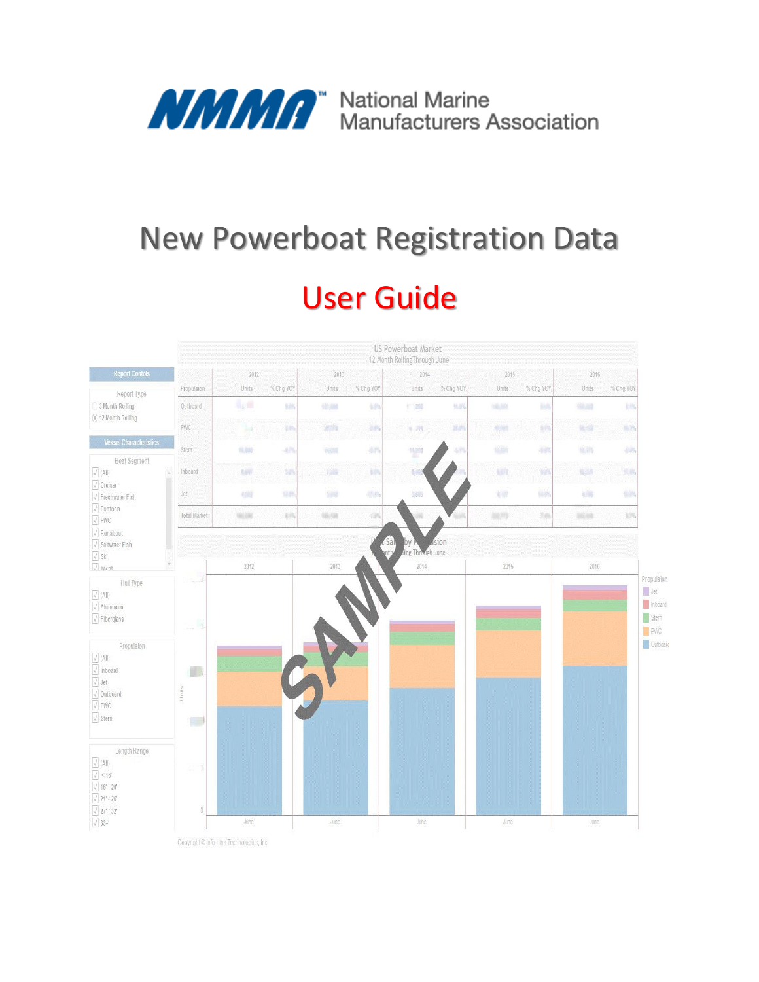

# New Powerboat Registration Data User Guide



Copyright @ Info-Link Technologies, Inc.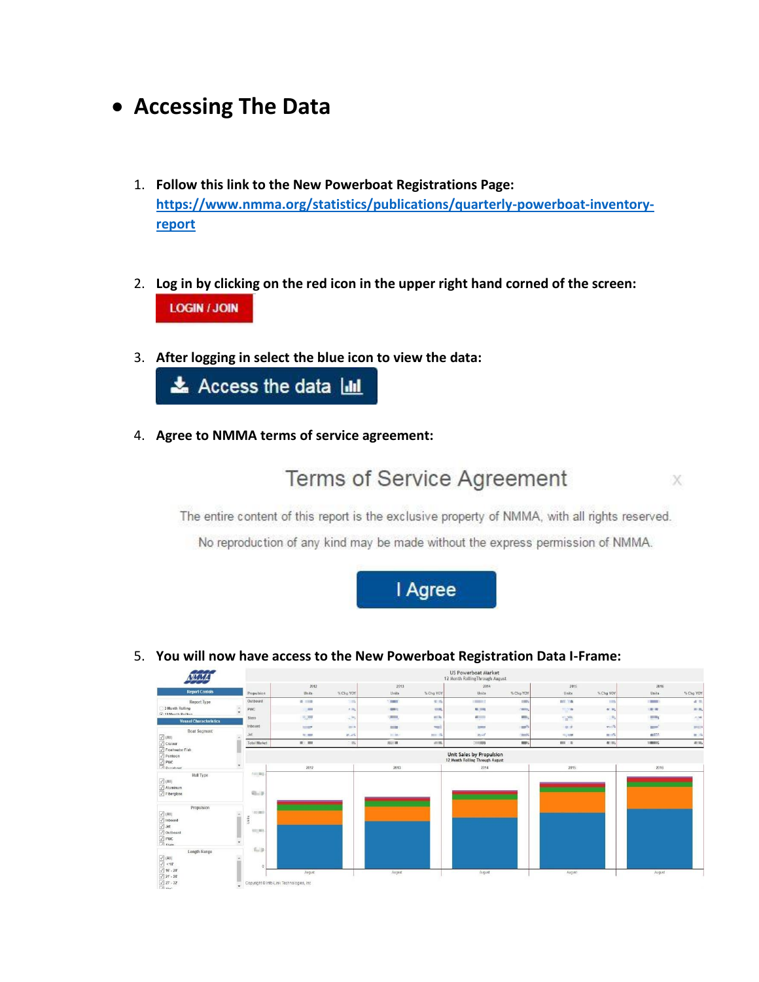### **Accessing The Data**

- 1. **Follow this link to the New Powerboat Registrations Page: [https://www.nmma.org/statistics/publications/quarterly-powerboat-inventory](https://www.nmma.org/statistics/publications/quarterly-powerboat-inventory-report)[report](https://www.nmma.org/statistics/publications/quarterly-powerboat-inventory-report)**
- 2. **Log in by clicking on the red icon in the upper right hand corned of the screen: LOGIN / JOIN**
- 3. **After logging in select the blue icon to view the data:**



4. **Agree to NMMA terms of service agreement:**



x

The entire content of this report is the exclusive property of NMMA, with all rights reserved.

No reproduction of any kind may be made without the express permission of NMMA.



5. **You will now have access to the New Powerboat Registration Data I-Frame:**

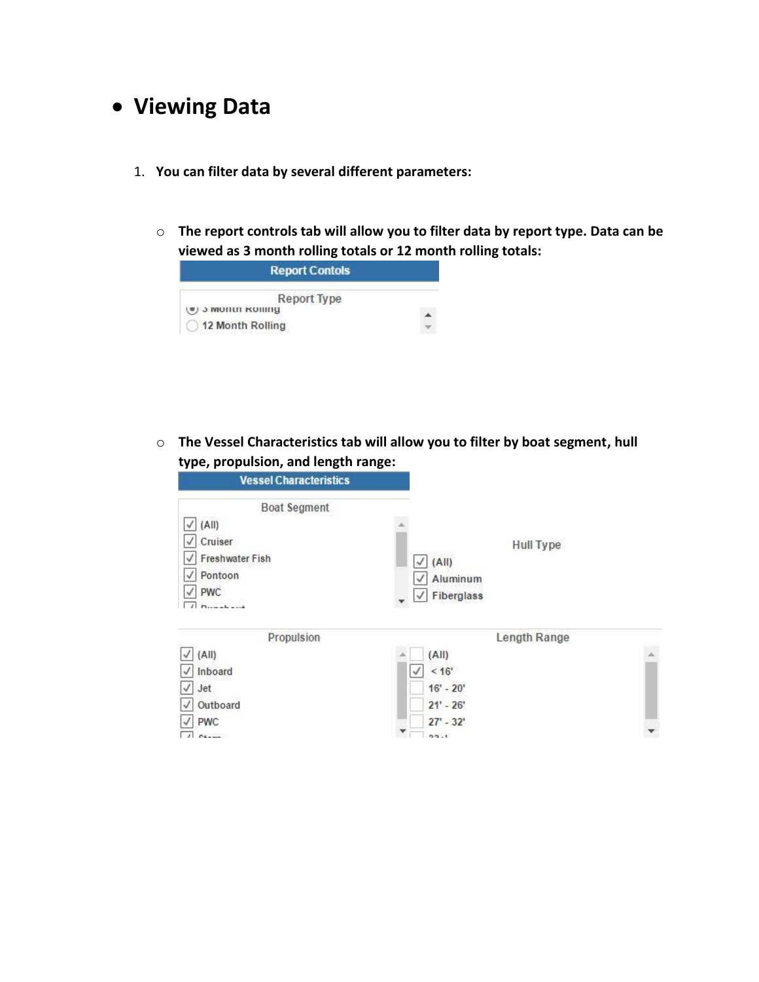# **Viewing Data**

- 1. **You can filter data by several different parameters:**
	- o **The report controls tab will allow you to filter data by report type. Data can be viewed as 3 month rolling totals or 12 month rolling totals:**



o **The Vessel Characteristics tab will allow you to filter by boat segment, hull type, propulsion, and length range:**

| <b>Vessel Characteristics</b>     |                                |  |
|-----------------------------------|--------------------------------|--|
| <b>Boat Segment</b>               |                                |  |
| (A  )                             |                                |  |
| Cruiser                           | Hull Type                      |  |
| Freshwater Fish                   | (AII)<br>$\checkmark$          |  |
| Pontoon                           | Aluminum                       |  |
| PWC                               | Fiberglass<br>√                |  |
| $D$ can when you do<br>Propulsion | Length Range                   |  |
| (A  )                             | (A  )                          |  |
| Inboard                           | < 16 <sup>i</sup><br>$\sqrt{}$ |  |
| $\checkmark$<br>Jet               | $16' - 20'$                    |  |
| Outboard                          | $21' - 26'$                    |  |
| PWC                               | $27 - 32'$                     |  |
| - 18                              | 55.1                           |  |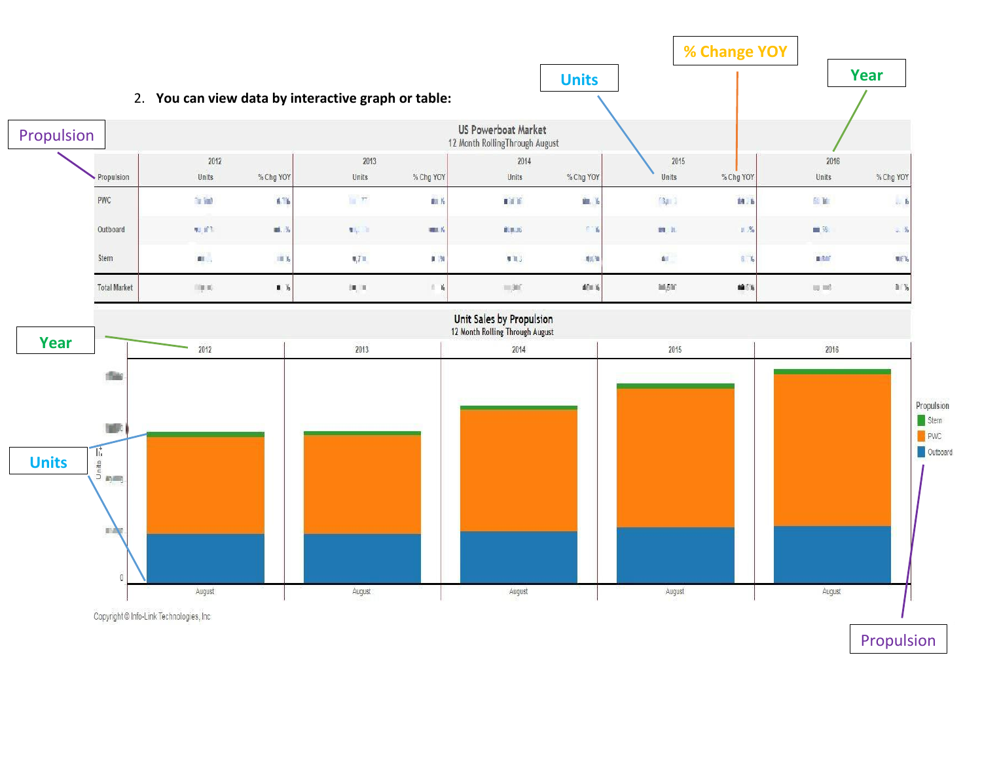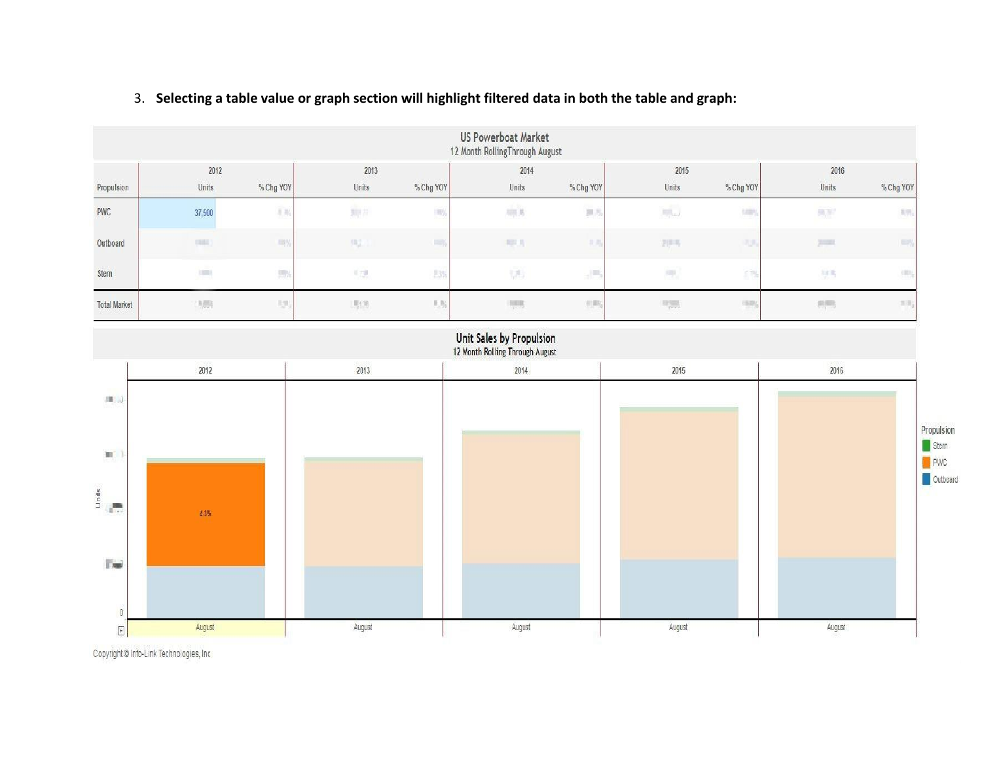#### 3. **Selecting a table value or graph section will highlight filtered data in both the table and graph:**

| <b>US Powerboat Market</b><br>12 Month RollingThrough August |               |                 |                     |             |                                        |                         |                                   |           |       |                   |
|--------------------------------------------------------------|---------------|-----------------|---------------------|-------------|----------------------------------------|-------------------------|-----------------------------------|-----------|-------|-------------------|
|                                                              | 2012          |                 | 2013                |             | 2014                                   |                         |                                   |           | 2016  |                   |
| Propulsion                                                   | Units         | % Chg YOY       | Units               | % Chg YOY   | Units                                  | 2012/07/20<br>% Chg YOY | Units                             | % Chg YOY | Units | % Chg YOY         |
| <b>PWC</b>                                                   | 37,500        | $\frac{1}{2}$ % | 颗片                  | 呼           | $\overline{m}$ ,<br>$\overline{b}$     | 無方                      | $\frac{1}{\ x\ _{\mathcal{L}^2}}$ | timy      | 热室    | $1\%$             |
| Outboard                                                     | <b>TRIBE</b>  | <b>JEBS</b>     | 59.2                | <b>THEY</b> | 再現所                                    | 共用                      | 进用书                               | 河川        | 200   | EW                |
| Stern                                                        | $\frac{1}{2}$ | 時               | $\overline{\Omega}$ | E3%         | $\frac{1}{2} \sqrt{\frac{2}{1-\beta}}$ | 뇌맥                      | 風                                 | 的物        | 材料    | my                |
| <b>Total Market</b>                                          | 制限            | 期               | 明期                  | 儿吃          | $\frac{1}{2}$                          | 侧形                      | $\mathbb{H}_{\text{pert}}$        | 用物        | 長     | $=$ $\frac{1}{2}$ |



Copyright @ Info-Link Technologies, Inc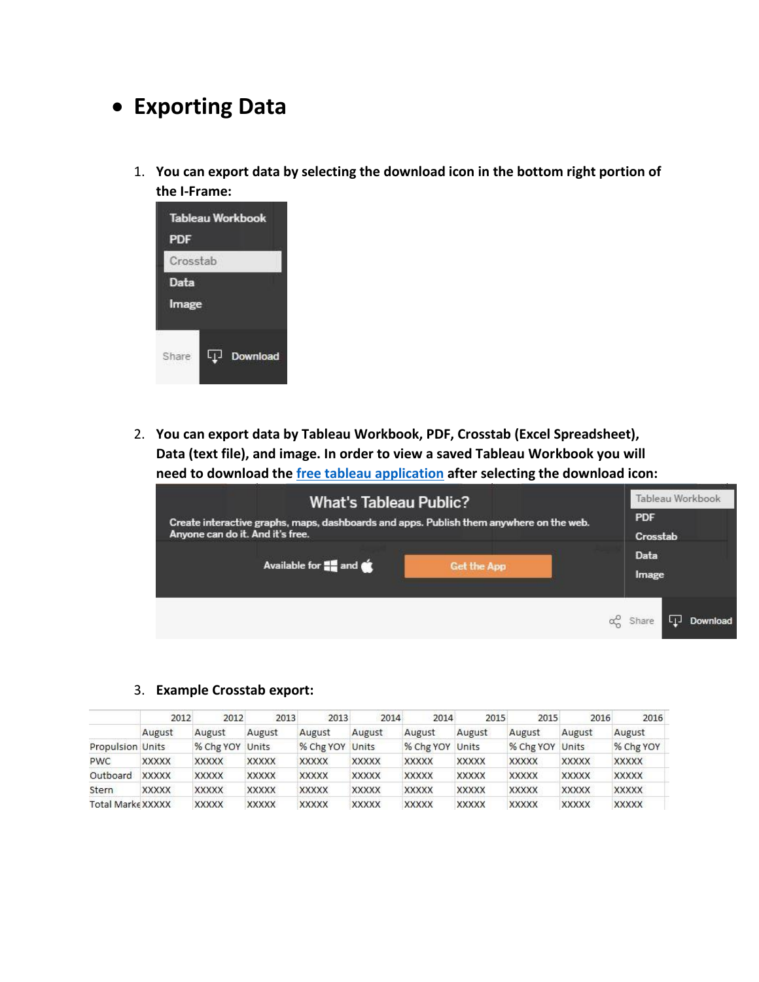## **Exporting Data**

1. **You can export data by selecting the download icon in the bottom right portion of the I-Frame:**



2. **You can export data by Tableau Workbook, PDF, Crosstab (Excel Spreadsheet), Data (text file), and image. In order to view a saved Tableau Workbook you will need to download the [free tableau application](https://public.tableau.com/s/download?source=viz_toolbar&ref=https://public.tableau.com/views/NMMAMonthly/NationalPowerboatSummary) after selecting the download icon:**

| <b>What's Tableau Public?</b>                                                           | Tableau Workbook               |  |  |
|-----------------------------------------------------------------------------------------|--------------------------------|--|--|
| Create interactive graphs, maps, dashboards and apps. Publish them anywhere on the web. | <b>PDF</b>                     |  |  |
| Anyone can do it. And it's free.                                                        | Crosstab                       |  |  |
| Available for $\blacksquare$ and $\bullet$                                              | Data                           |  |  |
| <b>Get the App</b>                                                                      | Image                          |  |  |
|                                                                                         | Download<br>$\alpha_0^0$ Share |  |  |

3. **Example Crosstab export:**

|                         |              | 2012<br>2012 | 2013         | 2013         | 2014         | 2014            | 2015         | 2015         | 2016         | 2016         |
|-------------------------|--------------|--------------|--------------|--------------|--------------|-----------------|--------------|--------------|--------------|--------------|
|                         | August       | August       | August       | August       | August       | August          | August       | August       | August       | August       |
| <b>Propulsion Units</b> |              | % Chg YOY    | Units        | % Chg YOY    | Units        | % Chg YOY Units |              | % Chg YOY    | Units        | % Chg YOY    |
| <b>PWC</b>              | <b>XXXXX</b> | <b>XXXXX</b> | <b>XXXXX</b> | <b>XXXXX</b> | <b>XXXXX</b> | <b>XXXXX</b>    | <b>XXXXX</b> | <b>XXXXX</b> | <b>XXXXX</b> | <b>XXXXX</b> |
| Outboard                | <b>XXXXX</b> | <b>XXXXX</b> | <b>XXXXX</b> | <b>XXXXX</b> | <b>XXXXX</b> | <b>XXXXX</b>    | <b>XXXXX</b> | <b>XXXXX</b> | <b>XXXXX</b> | <b>XXXXX</b> |
| Stern                   | <b>XXXXX</b> | <b>XXXXX</b> | <b>XXXXX</b> | <b>XXXXX</b> | <b>XXXXX</b> | <b>XXXXX</b>    | <b>XXXXX</b> | <b>XXXXX</b> | <b>XXXXX</b> | <b>XXXXX</b> |
| Total Marke XXXXX       |              | <b>XXXXX</b> | <b>XXXXX</b> | <b>XXXXX</b> | <b>XXXXX</b> | <b>XXXXX</b>    | <b>XXXXX</b> | <b>XXXXX</b> | <b>XXXXX</b> | <b>XXXXX</b> |